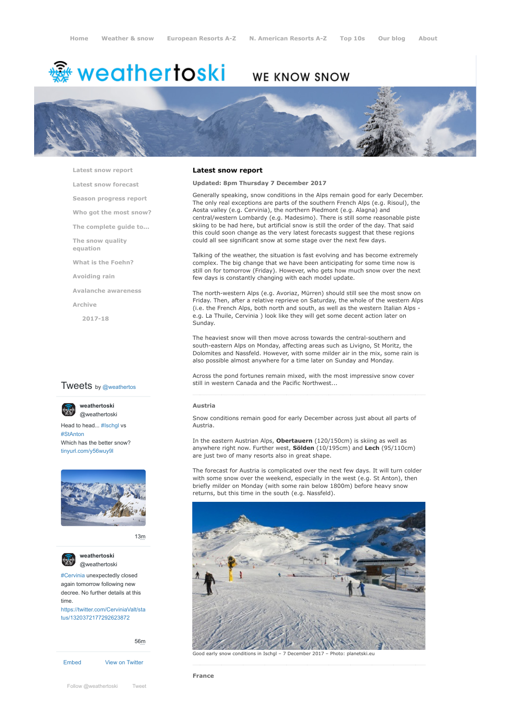# <del>鑾</del> weathertoski

# WE KNOW SNOW



**[Latest snow report](https://www.weathertoski.co.uk/weather-snow/latest-snow-report/)**

**[Latest snow forecast](https://www.weathertoski.co.uk/weather-snow/latest-snow-forecast/)**

**[Season progress report](https://www.weathertoski.co.uk/weather-snow/season-progress-report/)**

- **[Who got the most snow?](https://www.weathertoski.co.uk/weather-snow/who-got-the-most-snow/)**
- **[The complete guide to...](https://www.weathertoski.co.uk/weather-snow/the-complete-guide-to/)**

**[The snow quality](https://www.weathertoski.co.uk/weather-snow/the-snow-quality-equation/)**

**[What is the Foehn?](https://www.weathertoski.co.uk/weather-snow/what-is-the-foehn/)**

**[Avoiding rain](https://www.weathertoski.co.uk/weather-snow/avoiding-rain/)**

**[Avalanche awareness](https://www.weathertoski.co.uk/weather-snow/avalanche-awareness/)**

**[Archive](https://www.weathertoski.co.uk/weather-snow/archive/)**

**equation**

**[2017-18](https://www.weathertoski.co.uk/weather-snow/archive/2017-18/)**

# **Tweets** by @weathertos

**weathertoski**



Head to head... [#Ischgl](https://twitter.com/hashtag/Ischgl?src=hash) vs [#StAnton](https://twitter.com/hashtag/StAnton?src=hash) Which has the better snow? [tinyurl.com/y56wuy9l](https://t.co/AeKkyB0N9S)



[13m](https://twitter.com/weathertoski/status/1320387692862050304)



**weathertoski** [@weathertoski](https://twitter.com/weathertoski)

[#Cervinia](https://twitter.com/hashtag/Cervinia?src=hash) unexpectedly closed again tomorrow following new decree. No further details at this time. [https://twitter.com/CerviniaValt/sta](https://twitter.com/CerviniaValt/status/1320372177292623872)

tus/1320372177292623872

[56m](https://twitter.com/weathertoski/status/1320376647305093126)

```
Embed View on Twitter
```
[Follow @weathertoski](https://twitter.com/intent/follow?original_referer=https%3A%2F%2Fwww.weathertoski.co.uk%2F&ref_src=twsrc%5Etfw®ion=follow_link&screen_name=weathertoski&tw_p=followbutton) [Tweet](https://twitter.com/intent/tweet?original_referer=https%3A%2F%2Fwww.weathertoski.co.uk%2F&ref_src=twsrc%5Etfw&text=Weather%20to%20ski%20-%20Snow%20report%20-%207%20December%202017&tw_p=tweetbutton&url=https%3A%2F%2Fwww.weathertoski.co.uk%2Fweather-snow%2Farchive%2Fsnow-report-7-december-2017%2F)

## **Latest snow report**

# **Updated: 8pm Thursday 7 December 2017**

Generally speaking, snow conditions in the Alps remain good for early December. The only real exceptions are parts of the southern French Alps (e.g. Risoul), the Aosta valley (e.g. Cervinia), the northern Piedmont (e.g. Alagna) and central/western Lombardy (e.g. Madesimo). There is still some reasonable piste skiing to be had here, but artificial snow is still the order of the day. That said this could soon change as the very latest forecasts suggest that these regions could all see significant snow at some stage over the next few days.

Talking of the weather, the situation is fast evolving and has become extremely complex. The big change that we have been anticipating for some time now is still on for tomorrow (Friday). However, who gets how much snow over the next few days is constantly changing with each model update.

The north-western Alps (e.g. Avoriaz, Mürren) should still see the most snow on Friday. Then, after a relative reprieve on Saturday, the whole of the western Alps (i.e. the French Alps, both north and south, as well as the western Italian Alps e.g. La Thuile, Cervinia ) look like they will get some decent action later on Sunday.

The heaviest snow will then move across towards the central-southern and south-eastern Alps on Monday, affecting areas such as Livigno, St Moritz, the Dolomites and Nassfeld. However, with some milder air in the mix, some rain is also possible almost anywhere for a time later on Sunday and Monday.

Across the pond fortunes remain mixed, with the most impressive snow cover still in western Canada and the Pacific Northwest...

#### **Austria**

Snow conditions remain good for early December across just about all parts of Austria.

In the eastern Austrian Alps, **Obertauern** (120/150cm) is skiing as well as anywhere right now. Further west, **Sölden** (10/195cm) and **Lech** (95/110cm) are just two of many resorts also in great shape.

The forecast for Austria is complicated over the next few days. It will turn colder with some snow over the weekend, especially in the west (e.g. St Anton), then briefly milder on Monday (with some rain below 1800m) before heavy snow returns, but this time in the south (e.g. Nassfeld).



Good early snow conditions in Ischgl – 7 December 2017 – Photo: planetski.eu

**France**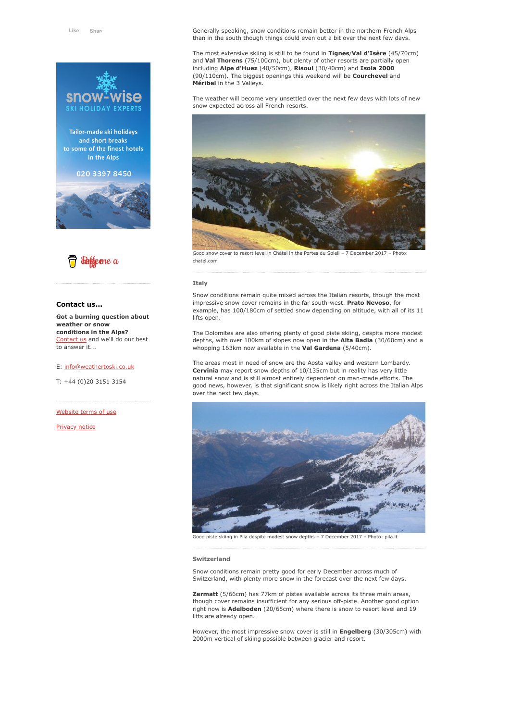

Tailor-made ski holidays and short breaks to some of the finest hotels in the Alps

020 3397 8450





## **Contact us...**

**Got a burning question about weather or snow conditions in the Alps?** [Contact us](https://www.weathertoski.co.uk/about-1/contact-us/) and we'll do our best to answer it...

#### E: [info@weathertoski.co.uk](mailto:fraser@weathertoski.co.uk)

T: +44 (0)20 3151 3154

[Website terms of use](https://www.weathertoski.co.uk/about-1/website-terms-of-use/)

[Privacy notice](https://www.weathertoski.co.uk/about-1/privacy-notice/)

Generally speaking, snow conditions remain better in the northern French Alps than in the south though things could even out a bit over the next few days.

The most extensive skiing is still to be found in **Tignes**/**Val d'Isère** (45/70cm) and **Val Thorens** (75/100cm), but plenty of other resorts are partially open including **Alpe d'Huez** (40/50cm), **Risoul** (30/40cm) and **Isola 2000** (90/110cm). The biggest openings this weekend will be **Courchevel** and **Méribel** in the 3 Valleys.

The weather will become very unsettled over the next few days with lots of new snow expected across all French resorts.



Good snow cover to resort level in Châtel in the Portes du Soleil – 7 December 2017 chatel.com

#### **Italy**

Snow conditions remain quite mixed across the Italian resorts, though the most impressive snow cover remains in the far south-west. **Prato Nevoso**, for example, has 100/180cm of settled snow depending on altitude, with all of its 11 lifts open.

The Dolomites are also offering plenty of good piste skiing, despite more modest depths, with over 100km of slopes now open in the **Alta Badia** (30/60cm) and a whopping 163km now available in the **Val Gardena** (5/40cm).

The areas most in need of snow are the Aosta valley and western Lombardy. **Cervinia** may report snow depths of 10/135cm but in reality has very little natural snow and is still almost entirely dependent on man-made efforts. The good news, however, is that significant snow is likely right across the Italian Alps over the next few days.



Good piste skiing in Pila despite modest snow depths – 7 December 2017 – Photo: pila.it

#### **Switzerland**

Snow conditions remain pretty good for early December across much of Switzerland, with plenty more snow in the forecast over the next few days.

**Zermatt** (5/66cm) has 77km of pistes available across its three main areas, though cover remains insufficient for any serious off-piste. Another good option right now is **Adelboden** (20/65cm) where there is snow to resort level and 19 lifts are already open.

However, the most impressive snow cover is still in **Engelberg** (30/305cm) with 2000m vertical of skiing possible between glacier and resort.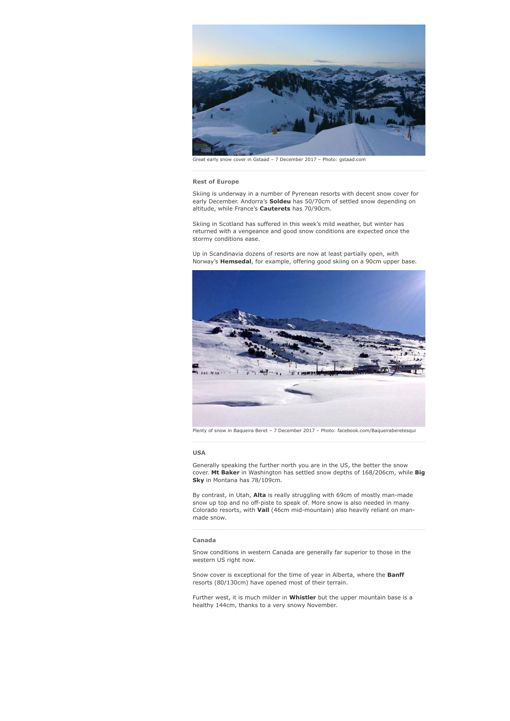

early snow cover in Gstaad – 7 December 2017 – Photo: gstaad.com

#### **Rest of Europe**

Skiing is underway in a number of Pyrenean resorts with decent snow cover for early December. Andorra's **Soldeu** has 50/70cm of settled snow depending on altitude, while France's **Cauterets** has 70/90cm.

Skiing in Scotland has suffered in this week's mild weather, but winter has returned with a vengeance and good snow conditions are expected once the stormy conditions ease.

Up in Scandinavia dozens of resorts are now at least partially open, with Norway's **Hemsedal**, for example, offering good skiing on a 90cm upper base.



Plenty of snow in Baqueira Beret – 7 December 2017 – Photo: facebook.com/Baqueiraberetesqui

#### **USA**

Generally speaking the further north you are in the US, the better the snow cover. **Mt Baker** in Washington has settled snow depths of 168/206cm, while **Big Sky** in Montana has 78/109cm.

By contrast, in Utah, **Alta** is really struggling with 69cm of mostly man-made snow up top and no off-piste to speak of. More snow is also needed in many Colorado resorts, with **Vail** (46cm mid-mountain) also heavily reliant on manmade snow.

#### **Canada**

Snow conditions in western Canada are generally far superior to those in the western US right now.

Snow cover is exceptional for the time of year in Alberta, where the **Banff** resorts (80/130cm) have opened most of their terrain.

Further west, it is much milder in **Whistler** but the upper mountain base is a healthy 144cm, thanks to a very snowy November.